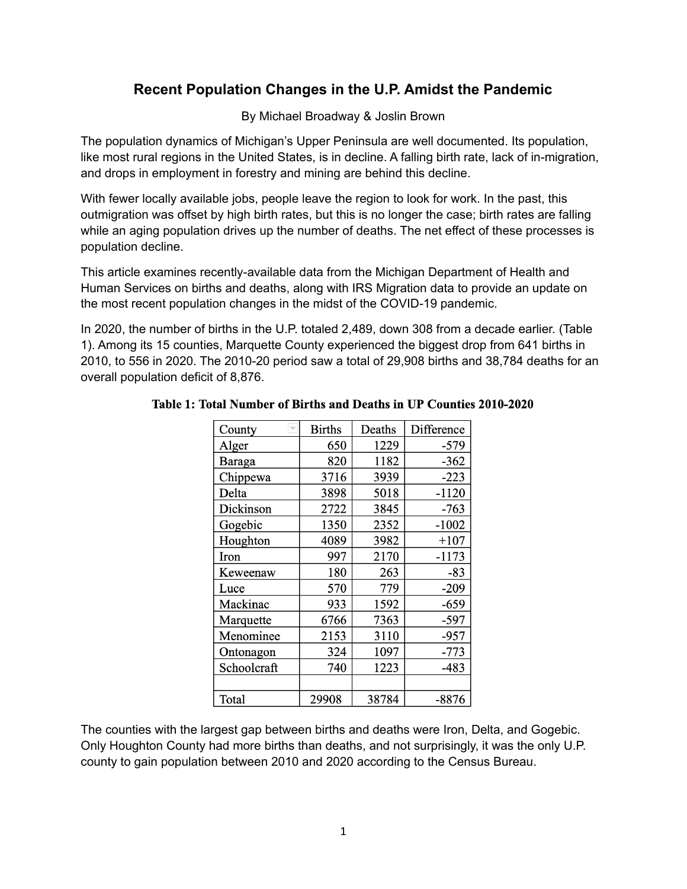# **Recent Population Changes in the U.P. Amidst the Pandemic**

By Michael Broadway & Joslin Brown

The population dynamics of Michigan's Upper Peninsula are well documented. Its population, like most rural regions in the United States, is in decline. A falling birth rate, lack of in-migration, and drops in employment in forestry and mining are behind this decline.

With fewer locally available jobs, people leave the region to look for work. In the past, this outmigration was offset by high birth rates, but this is no longer the case; birth rates are falling while an aging population drives up the number of deaths. The net effect of these processes is population decline.

This article examines recently-available data from the Michigan Department of Health and Human Services on births and deaths, along with IRS Migration data to provide an update on the most recent population changes in the midst of the COVID-19 pandemic.

In 2020, the number of births in the U.P. totaled 2,489, down 308 from a decade earlier. (Table 1). Among its 15 counties, Marquette County experienced the biggest drop from 641 births in 2010, to 556 in 2020. The 2010-20 period saw a total of 29,908 births and 38,784 deaths for an overall population deficit of 8,876.

| County        | <b>Births</b> | Deaths | Difference |
|---------------|---------------|--------|------------|
| Alger         | 650           | 1229   | -579       |
| <b>Baraga</b> | 820           | 1182   | $-362$     |
| Chippewa      | 3716          | 3939   | $-223$     |
| Delta         | 3898          | 5018   | $-1120$    |
| Dickinson     | 2722          | 3845   | -763       |
| Gogebic       | 1350          | 2352   | $-1002$    |
| Houghton      | 4089          | 3982   | $+107$     |
| Iron          | 997           | 2170   | $-1173$    |
| Keweenaw      | 180           | 263    | -83        |
| Luce          | 570           | 779    | $-209$     |
| Mackinac      | 933           | 1592   | $-659$     |
| Marquette     | 6766          | 7363   | -597       |
| Menominee     | 2153          | 3110   | $-957$     |
| Ontonagon     | 324           | 1097   | $-773$     |
| Schoolcraft   | 740           | 1223   | -483       |
|               |               |        |            |
| Total         | 29908         | 38784  | -8876      |

## Table 1: Total Number of Births and Deaths in UP Counties 2010-2020

The counties with the largest gap between births and deaths were Iron, Delta, and Gogebic. Only Houghton County had more births than deaths, and not surprisingly, it was the only U.P. county to gain population between 2010 and 2020 according to the Census Bureau.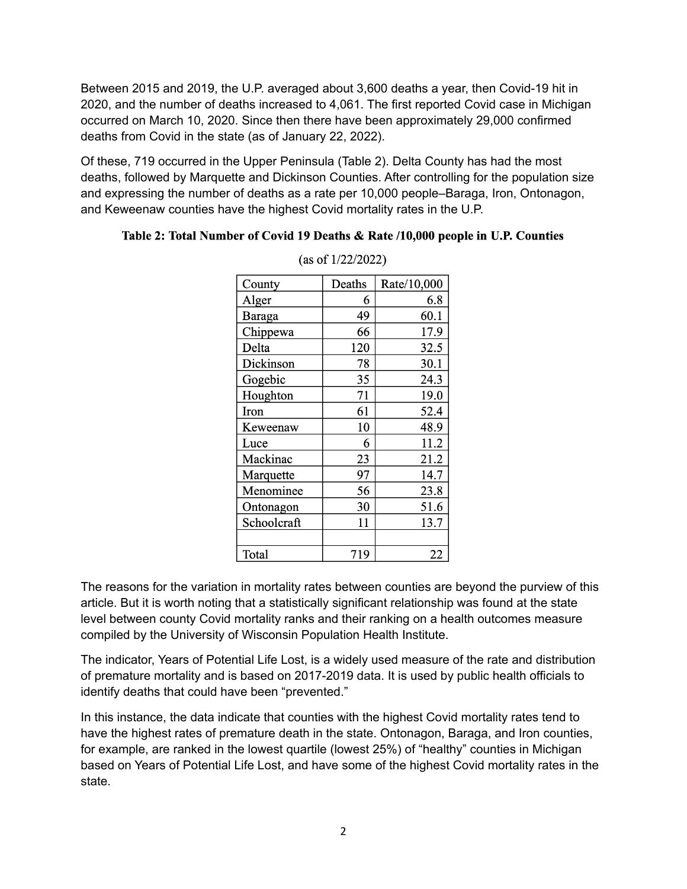Between 2015 and 2019, the U.P. averaged about 3,600 deaths a year, then Covid-19 hit in 2020, and the number of deaths increased to 4,061. The first reported Covid case in Michigan occurred on March 10, 2020. Since then there have been approximately 29,000 confirmed deaths from Covid in the state (as of January 22, 2022).

Of these, 719 occurred in the Upper Peninsula (Table 2). Delta County has had the most deaths, followed by Marquette and Dickinson Counties. After controlling for the population size and expressing the number of deaths as a rate per 10,000 people–Baraga, Iron, Ontonagon, and Keweenaw counties have the highest Covid mortality rates in the U.P.

## Table 2: Total Number of Covid 19 Deaths & Rate /10,000 people in U.P. Counties

| County        | Deaths | Rate/10,000 |
|---------------|--------|-------------|
| Alger         | 6      | 6.8         |
| <b>Baraga</b> | 49     | 60.1        |
| Chippewa      | 66     | 17.9        |
| Delta         | 120    | 32.5        |
| Dickinson     | 78     | 30.1        |
| Gogebic       | 35     | 24.3        |
| Houghton      | 71     | 19.0        |
| Iron          | 61     | 52.4        |
| Keweenaw      | 10     | 48.9        |
| Luce          | 6      | 11.2        |
| Mackinac      | 23     | 21.2        |
| Marquette     | 97     | 14.7        |
| Menominee     | 56     | 23.8        |
| Ontonagon     | 30     | 51.6        |
| Schoolcraft   | 11     | 13.7        |
|               |        |             |
| Total         | 719    | 22          |

(as of  $1/22/2022$ )

The reasons for the variation in mortality rates between counties are beyond the purview of this article. But it is worth noting that a statistically significant relationship was found at the state level between county Covid mortality ranks and their ranking on a health outcomes measure compiled by the University of Wisconsin Population Health Institute.

The indicator, Years of Potential Life Lost, is a widely used measure of the rate and distribution of premature mortality and is based on 2017-2019 data. It is used by public health officials to identify deaths that could have been "prevented."

In this instance, the data indicate that counties with the highest Covid mortality rates tend to have the highest rates of premature death in the state. Ontonagon, Baraga, and Iron counties, for example, are ranked in the lowest quartile (lowest 25%) of "healthy" counties in Michigan based on Years of Potential Life Lost, and have some of the highest Covid mortality rates in the state.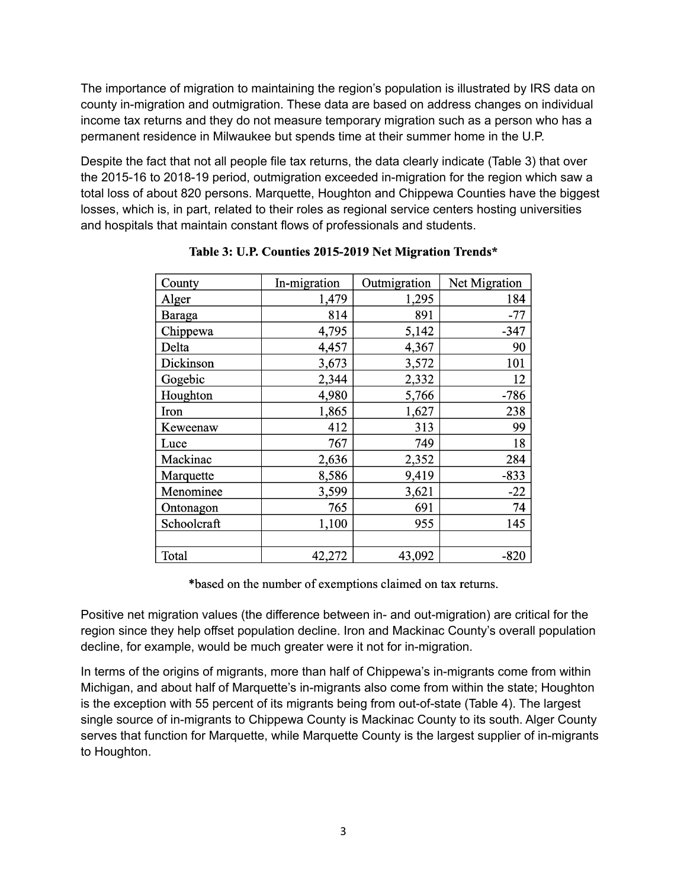The importance of migration to maintaining the region's population is illustrated by IRS data on county in-migration and outmigration. These data are based on address changes on individual income tax returns and they do not measure temporary migration such as a person who has a permanent residence in Milwaukee but spends time at their summer home in the U.P.

Despite the fact that not all people file tax returns, the data clearly indicate (Table 3) that over the 2015-16 to 2018-19 period, outmigration exceeded in-migration for the region which saw a total loss of about 820 persons. Marquette, Houghton and Chippewa Counties have the biggest losses, which is, in part, related to their roles as regional service centers hosting universities and hospitals that maintain constant flows of professionals and students.

| County      | In-migration | Outmigration | Net Migration |
|-------------|--------------|--------------|---------------|
| Alger       | 1,479        | 1,295        | 184           |
| Baraga      | 814          | 891          | $-77$         |
| Chippewa    | 4,795        | 5,142        | $-347$        |
| Delta       | 4,457        | 4,367        | 90            |
| Dickinson   | 3,673        | 3,572        | 101           |
| Gogebic     | 2,344        | 2,332        | 12            |
| Houghton    | 4,980        | 5,766        | $-786$        |
| Iron        | 1,865        | 1,627        | 238           |
| Keweenaw    | 412          | 313          | 99            |
| Luce        | 767          | 749          | 18            |
| Mackinac    | 2,636        | 2,352        | 284           |
| Marquette   | 8,586        | 9,419        | $-833$        |
| Menominee   | 3,599        | 3,621        | $-22$         |
| Ontonagon   | 765          | 691          | 74            |
| Schoolcraft | 1,100        | 955          | 145           |
|             |              |              |               |
| Total       | 42,272       | 43,092       | $-820$        |

Table 3: U.P. Counties 2015-2019 Net Migration Trends\*

\*based on the number of exemptions claimed on tax returns.

Positive net migration values (the difference between in- and out-migration) are critical for the region since they help offset population decline. Iron and Mackinac County's overall population decline, for example, would be much greater were it not for in-migration.

In terms of the origins of migrants, more than half of Chippewa's in-migrants come from within Michigan, and about half of Marquette's in-migrants also come from within the state; Houghton is the exception with 55 percent of its migrants being from out-of-state (Table 4). The largest single source of in-migrants to Chippewa County is Mackinac County to its south. Alger County serves that function for Marquette, while Marquette County is the largest supplier of in-migrants to Houghton.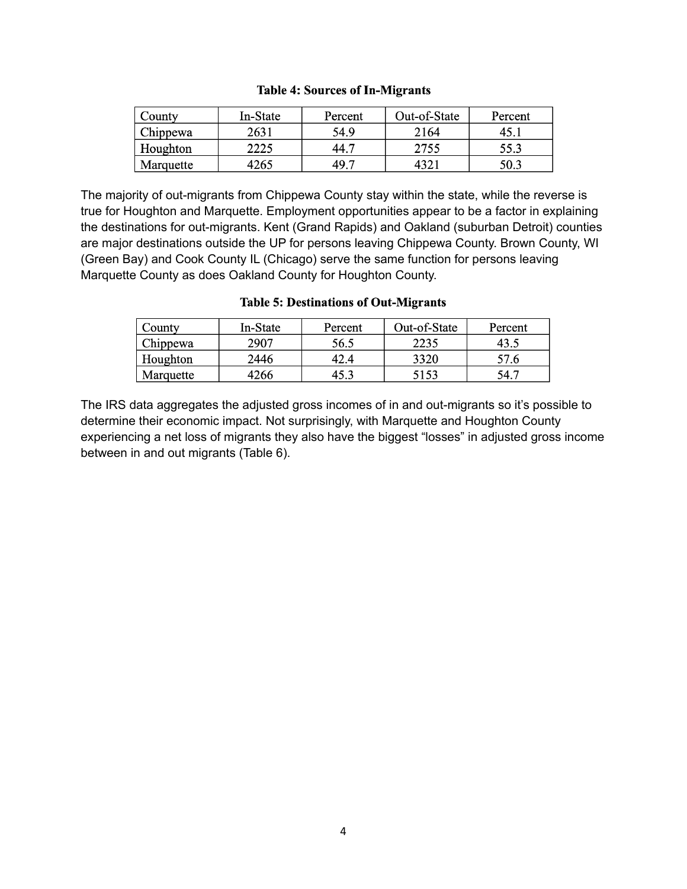#### **Table 4: Sources of In-Migrants**

| County    | In-State | Percent          | Out-of-State | Percent |
|-----------|----------|------------------|--------------|---------|
| Chippewa  | 2631     | 54.9             | 2164         |         |
| Houghton  | 2225     | 44. <sup>-</sup> | 2755         | 55.3    |
| Marquette | 4265     | 49. <sup>-</sup> | 4321         | 50.3    |

The majority of out-migrants from Chippewa County stay within the state, while the reverse is true for Houghton and Marquette. Employment opportunities appear to be a factor in explaining the destinations for out-migrants. Kent (Grand Rapids) and Oakland (suburban Detroit) counties are major destinations outside the UP for persons leaving Chippewa County. Brown County, WI (Green Bay) and Cook County IL (Chicago) serve the same function for persons leaving Marquette County as does Oakland County for Houghton County.

#### County In-State Percent Out-of-State Percent Chippewa 2907 56.5 2235 43.5 Houghton 2446 42.4 3320 57.6 Marquette 4266 45.3 5153 54.7

### **Table 5: Destinations of Out-Migrants**

The IRS data aggregates the adjusted gross incomes of in and out-migrants so it's possible to determine their economic impact. Not surprisingly, with Marquette and Houghton County experiencing a net loss of migrants they also have the biggest "losses" in adjusted gross income between in and out migrants (Table 6).